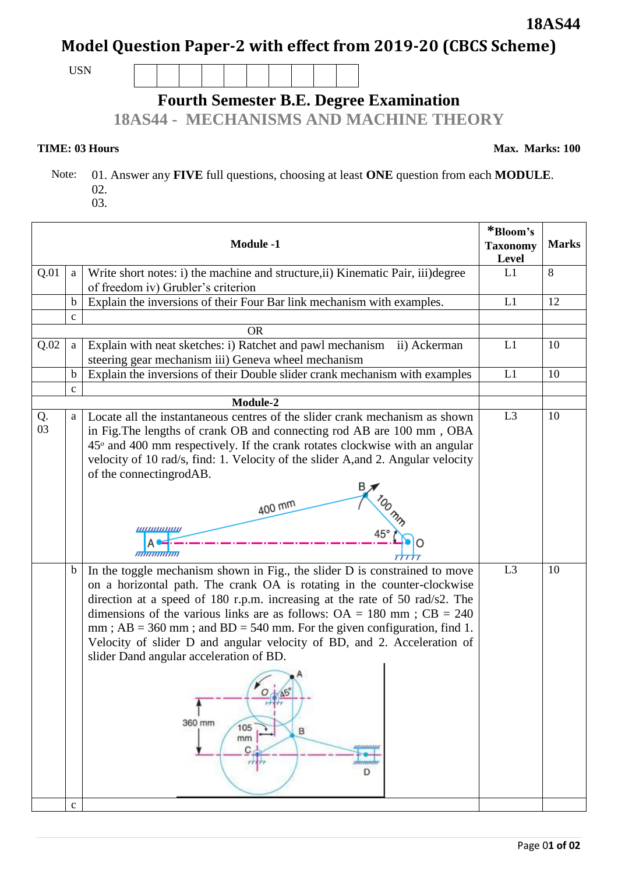# **Model Question Paper-2 with effect from 2019-20 (CBCS Scheme)**

USN

### **Fourth Semester B.E. Degree Examination**

**18AS44 - MECHANISMS AND MACHINE THEORY**

#### **TIME: 03 Hours** Max. Marks: 100

 $\sqrt{ }$ 

**18AS44**

 Note: 01. Answer any **FIVE** full questions, choosing at least **ONE** question from each **MODULE**. 02.

| <b>Module -1</b> |                            | *Bloom's<br><b>Taxonomy</b><br>Level                                                                                                                                                                                                                                                                                                                                                                                                                                                                                                                                                               | <b>Marks</b>   |    |
|------------------|----------------------------|----------------------------------------------------------------------------------------------------------------------------------------------------------------------------------------------------------------------------------------------------------------------------------------------------------------------------------------------------------------------------------------------------------------------------------------------------------------------------------------------------------------------------------------------------------------------------------------------------|----------------|----|
| Q.01             | a                          | Write short notes: i) the machine and structure, ii) Kinematic Pair, iii) degree<br>of freedom iv) Grubler's criterion                                                                                                                                                                                                                                                                                                                                                                                                                                                                             | L1             | 8  |
|                  | $\mathbf b$                | Explain the inversions of their Four Bar link mechanism with examples.                                                                                                                                                                                                                                                                                                                                                                                                                                                                                                                             | L1             | 12 |
|                  | $\mathbf c$                |                                                                                                                                                                                                                                                                                                                                                                                                                                                                                                                                                                                                    |                |    |
|                  |                            | <b>OR</b>                                                                                                                                                                                                                                                                                                                                                                                                                                                                                                                                                                                          |                |    |
| Q.02             | a                          | Explain with neat sketches: i) Ratchet and pawl mechanism ii) Ackerman<br>steering gear mechanism iii) Geneva wheel mechanism                                                                                                                                                                                                                                                                                                                                                                                                                                                                      | L1             | 10 |
|                  | $\mathbf b$                | Explain the inversions of their Double slider crank mechanism with examples                                                                                                                                                                                                                                                                                                                                                                                                                                                                                                                        | L1             | 10 |
|                  | $\mathbf{C}$               |                                                                                                                                                                                                                                                                                                                                                                                                                                                                                                                                                                                                    |                |    |
|                  |                            | Module-2                                                                                                                                                                                                                                                                                                                                                                                                                                                                                                                                                                                           |                |    |
| Q.<br>03         | a                          | Locate all the instantaneous centres of the slider crank mechanism as shown<br>in Fig.The lengths of crank OB and connecting rod AB are 100 mm, OBA<br>$45^{\circ}$ and $400$ mm respectively. If the crank rotates clockwise with an angular<br>velocity of 10 rad/s, find: 1. Velocity of the slider A, and 2. Angular velocity<br>of the connectingrodAB.<br>400 mm<br><u> ,,,,,,,,,,,,,,,</u><br><i><b>MUHAMMI</b></i>                                                                                                                                                                         | L <sub>3</sub> | 10 |
|                  | $\mathbf b$<br>$\mathbf c$ | In the toggle mechanism shown in Fig., the slider D is constrained to move<br>on a horizontal path. The crank OA is rotating in the counter-clockwise<br>direction at a speed of 180 r.p.m. increasing at the rate of 50 rad/s2. The<br>dimensions of the various links are as follows: $OA = 180$ mm; $CB = 240$<br>mm; $AB = 360$ mm; and $BD = 540$ mm. For the given configuration, find 1.<br>Velocity of slider D and angular velocity of BD, and 2. Acceleration of<br>slider Dand angular acceleration of BD.<br>$\circ$<br>360 mm<br>105<br>B<br>mm<br><b>MINUMINI</b><br>C<br>manan<br>D | L <sub>3</sub> | 10 |
|                  |                            |                                                                                                                                                                                                                                                                                                                                                                                                                                                                                                                                                                                                    |                |    |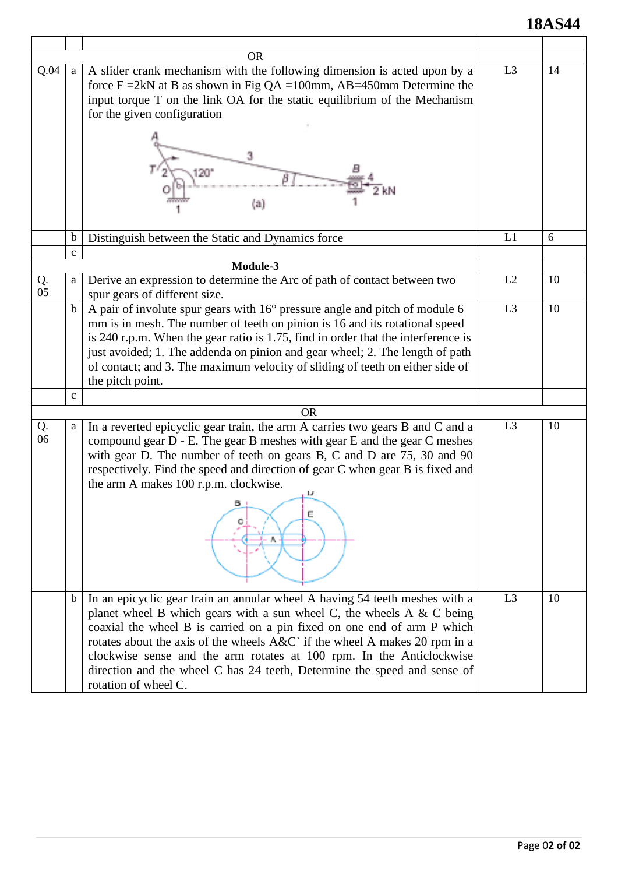## **18AS44**

|          |              | <b>OR</b>                                                                                                                                                                                                                                                                                                                                                                                                                                                                                    |                |    |
|----------|--------------|----------------------------------------------------------------------------------------------------------------------------------------------------------------------------------------------------------------------------------------------------------------------------------------------------------------------------------------------------------------------------------------------------------------------------------------------------------------------------------------------|----------------|----|
| Q.04     | a            | A slider crank mechanism with the following dimension is acted upon by a<br>force $F = 2kN$ at B as shown in Fig QA = 100mm, AB=450mm Determine the<br>input torque T on the link OA for the static equilibrium of the Mechanism<br>for the given configuration<br>(a)                                                                                                                                                                                                                       | L3             | 14 |
|          | $\mathbf b$  | Distinguish between the Static and Dynamics force                                                                                                                                                                                                                                                                                                                                                                                                                                            | L1             | 6  |
|          | $\mathbf{c}$ |                                                                                                                                                                                                                                                                                                                                                                                                                                                                                              |                |    |
|          |              | Module-3                                                                                                                                                                                                                                                                                                                                                                                                                                                                                     |                |    |
| Q.<br>05 | a            | Derive an expression to determine the Arc of path of contact between two<br>spur gears of different size.                                                                                                                                                                                                                                                                                                                                                                                    | L2             | 10 |
|          | $\mathbf b$  | A pair of involute spur gears with 16° pressure angle and pitch of module 6<br>mm is in mesh. The number of teeth on pinion is 16 and its rotational speed<br>is 240 r.p.m. When the gear ratio is 1.75, find in order that the interference is<br>just avoided; 1. The addenda on pinion and gear wheel; 2. The length of path<br>of contact; and 3. The maximum velocity of sliding of teeth on either side of<br>the pitch point.                                                         | L <sub>3</sub> | 10 |
|          | $\mathbf c$  |                                                                                                                                                                                                                                                                                                                                                                                                                                                                                              |                |    |
|          |              | <b>OR</b>                                                                                                                                                                                                                                                                                                                                                                                                                                                                                    |                |    |
| Q.<br>06 | a            | In a reverted epicyclic gear train, the arm A carries two gears B and C and a<br>compound gear D - E. The gear B meshes with gear E and the gear C meshes<br>with gear D. The number of teeth on gears B, C and D are 75, 30 and 90<br>respectively. Find the speed and direction of gear C when gear B is fixed and<br>the arm A makes 100 r.p.m. clockwise.<br>в<br>Е                                                                                                                      | L3             | 10 |
|          | b            | In an epicyclic gear train an annular wheel A having 54 teeth meshes with a<br>planet wheel B which gears with a sun wheel C, the wheels A $\&$ C being<br>coaxial the wheel B is carried on a pin fixed on one end of arm P which<br>rotates about the axis of the wheels A&C` if the wheel A makes 20 rpm in a<br>clockwise sense and the arm rotates at 100 rpm. In the Anticlockwise<br>direction and the wheel C has 24 teeth, Determine the speed and sense of<br>rotation of wheel C. | L <sub>3</sub> | 10 |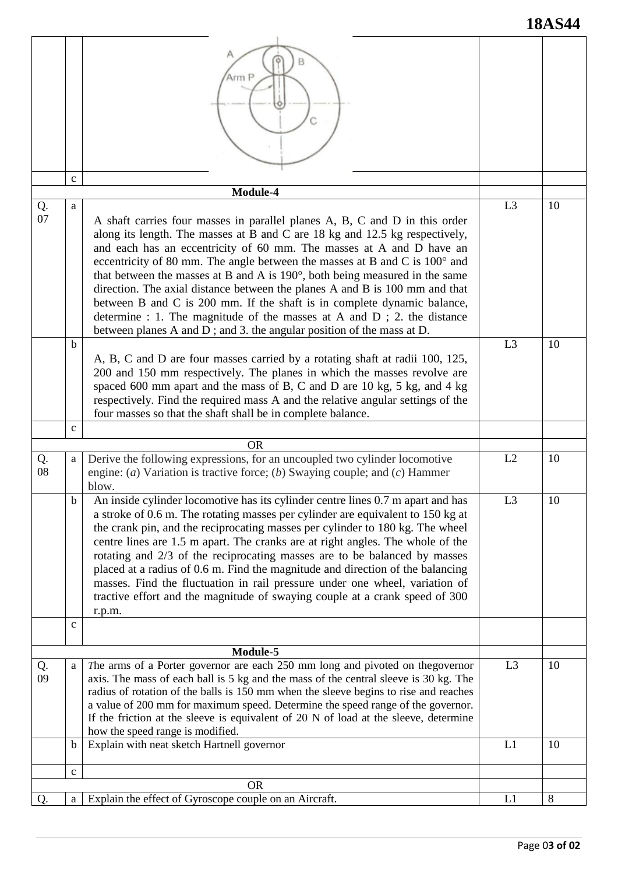|          |                   | Arm P                                                                                                                                                                                                                                                                                                                                                                                                                                                                                                                                                                                                                                                                                                            |                |                 |
|----------|-------------------|------------------------------------------------------------------------------------------------------------------------------------------------------------------------------------------------------------------------------------------------------------------------------------------------------------------------------------------------------------------------------------------------------------------------------------------------------------------------------------------------------------------------------------------------------------------------------------------------------------------------------------------------------------------------------------------------------------------|----------------|-----------------|
|          |                   |                                                                                                                                                                                                                                                                                                                                                                                                                                                                                                                                                                                                                                                                                                                  |                |                 |
|          | $\mathbf c$       | Module-4                                                                                                                                                                                                                                                                                                                                                                                                                                                                                                                                                                                                                                                                                                         |                |                 |
| Q.<br>07 | a                 | A shaft carries four masses in parallel planes A, B, C and D in this order<br>along its length. The masses at B and C are $18$ kg and $12.5$ kg respectively,<br>and each has an eccentricity of 60 mm. The masses at A and D have an<br>eccentricity of 80 mm. The angle between the masses at B and C is 100° and<br>that between the masses at B and A is 190°, both being measured in the same<br>direction. The axial distance between the planes A and B is 100 mm and that<br>between B and C is 200 mm. If the shaft is in complete dynamic balance,<br>determine : 1. The magnitude of the masses at A and D ; 2. the distance<br>between planes A and D; and 3. the angular position of the mass at D. | L <sub>3</sub> | 10              |
|          | b<br>$\mathbf{C}$ | A, B, C and D are four masses carried by a rotating shaft at radii 100, 125,<br>200 and 150 mm respectively. The planes in which the masses revolve are<br>spaced 600 mm apart and the mass of B, C and D are 10 kg, 5 kg, and 4 kg<br>respectively. Find the required mass A and the relative angular settings of the<br>four masses so that the shaft shall be in complete balance.                                                                                                                                                                                                                                                                                                                            | L <sub>3</sub> | 10              |
|          |                   | <b>OR</b>                                                                                                                                                                                                                                                                                                                                                                                                                                                                                                                                                                                                                                                                                                        |                |                 |
| Q.<br>08 | a                 | Derive the following expressions, for an uncoupled two cylinder locomotive<br>engine: (a) Variation is tractive force; (b) Swaying couple; and (c) Hammer<br>blow.                                                                                                                                                                                                                                                                                                                                                                                                                                                                                                                                               | L2             | 10              |
|          | b                 | An inside cylinder locomotive has its cylinder centre lines 0.7 m apart and has<br>a stroke of 0.6 m. The rotating masses per cylinder are equivalent to 150 kg at<br>the crank pin, and the reciprocating masses per cylinder to 180 kg. The wheel<br>centre lines are 1.5 m apart. The cranks are at right angles. The whole of the<br>rotating and 2/3 of the reciprocating masses are to be balanced by masses<br>placed at a radius of 0.6 m. Find the magnitude and direction of the balancing<br>masses. Find the fluctuation in rail pressure under one wheel, variation of<br>tractive effort and the magnitude of swaying couple at a crank speed of 300<br>r.p.m.                                     | L <sub>3</sub> | 10              |
|          | $\mathbf{C}$      |                                                                                                                                                                                                                                                                                                                                                                                                                                                                                                                                                                                                                                                                                                                  |                |                 |
|          |                   | Module-5                                                                                                                                                                                                                                                                                                                                                                                                                                                                                                                                                                                                                                                                                                         |                |                 |
| Q.<br>09 | a                 | The arms of a Porter governor are each 250 mm long and pivoted on the governor<br>axis. The mass of each ball is 5 kg and the mass of the central sleeve is 30 kg. The<br>radius of rotation of the balls is 150 mm when the sleeve begins to rise and reaches<br>a value of 200 mm for maximum speed. Determine the speed range of the governor.<br>If the friction at the sleeve is equivalent of 20 N of load at the sleeve, determine<br>how the speed range is modified.                                                                                                                                                                                                                                    | L <sub>3</sub> | 10              |
|          | b                 | Explain with neat sketch Hartnell governor                                                                                                                                                                                                                                                                                                                                                                                                                                                                                                                                                                                                                                                                       | L1             | 10              |
|          | $\mathbf c$       |                                                                                                                                                                                                                                                                                                                                                                                                                                                                                                                                                                                                                                                                                                                  |                |                 |
|          |                   | <b>OR</b>                                                                                                                                                                                                                                                                                                                                                                                                                                                                                                                                                                                                                                                                                                        |                |                 |
| Q.       | a                 | Explain the effect of Gyroscope couple on an Aircraft.                                                                                                                                                                                                                                                                                                                                                                                                                                                                                                                                                                                                                                                           | L1             | $8\phantom{.0}$ |